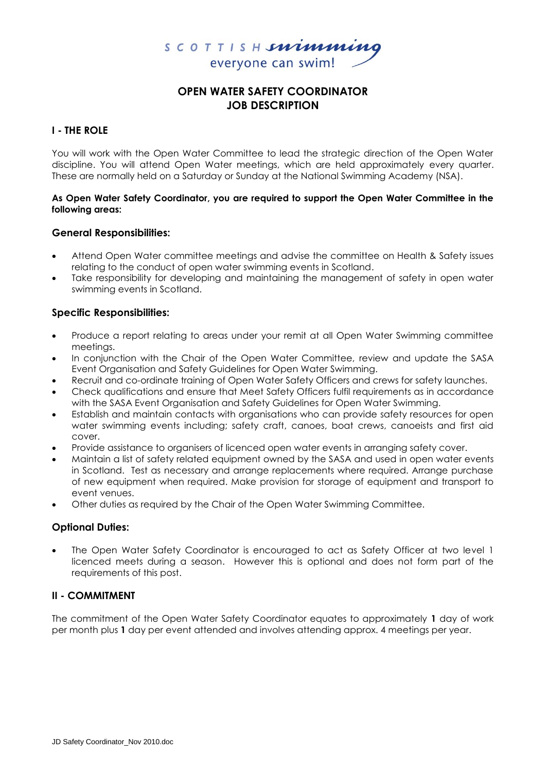

# **OPEN WATER SAFETY COORDINATOR JOB DESCRIPTION**

# **I - THE ROLE**

You will work with the Open Water Committee to lead the strategic direction of the Open Water discipline. You will attend Open Water meetings, which are held approximately every quarter. These are normally held on a Saturday or Sunday at the National Swimming Academy (NSA).

## **As Open Water Safety Coordinator, you are required to support the Open Water Committee in the following areas:**

## **General Responsibilities:**

- Attend Open Water committee meetings and advise the committee on Health & Safety issues relating to the conduct of open water swimming events in Scotland.
- Take responsibility for developing and maintaining the management of safety in open water swimming events in Scotland.

## **Specific Responsibilities:**

- Produce a report relating to areas under your remit at all Open Water Swimming committee meetings.
- In conjunction with the Chair of the Open Water Committee, review and update the SASA Event Organisation and Safety Guidelines for Open Water Swimming.
- Recruit and co-ordinate training of Open Water Safety Officers and crews for safety launches.
- Check qualifications and ensure that Meet Safety Officers fulfil requirements as in accordance with the SASA Event Organisation and Safety Guidelines for Open Water Swimming.
- Establish and maintain contacts with organisations who can provide safety resources for open water swimming events including; safety craft, canoes, boat crews, canoeists and first aid cover.
- Provide assistance to organisers of licenced open water events in arranging safety cover.
- Maintain a list of safety related equipment owned by the SASA and used in open water events in Scotland. Test as necessary and arrange replacements where required. Arrange purchase of new equipment when required. Make provision for storage of equipment and transport to event venues.
- Other duties as required by the Chair of the Open Water Swimming Committee.

## **Optional Duties:**

 The Open Water Safety Coordinator is encouraged to act as Safety Officer at two level 1 licenced meets during a season. However this is optional and does not form part of the requirements of this post.

## **II - COMMITMENT**

The commitment of the Open Water Safety Coordinator equates to approximately **1** day of work per month plus **1** day per event attended and involves attending approx. 4 meetings per year.